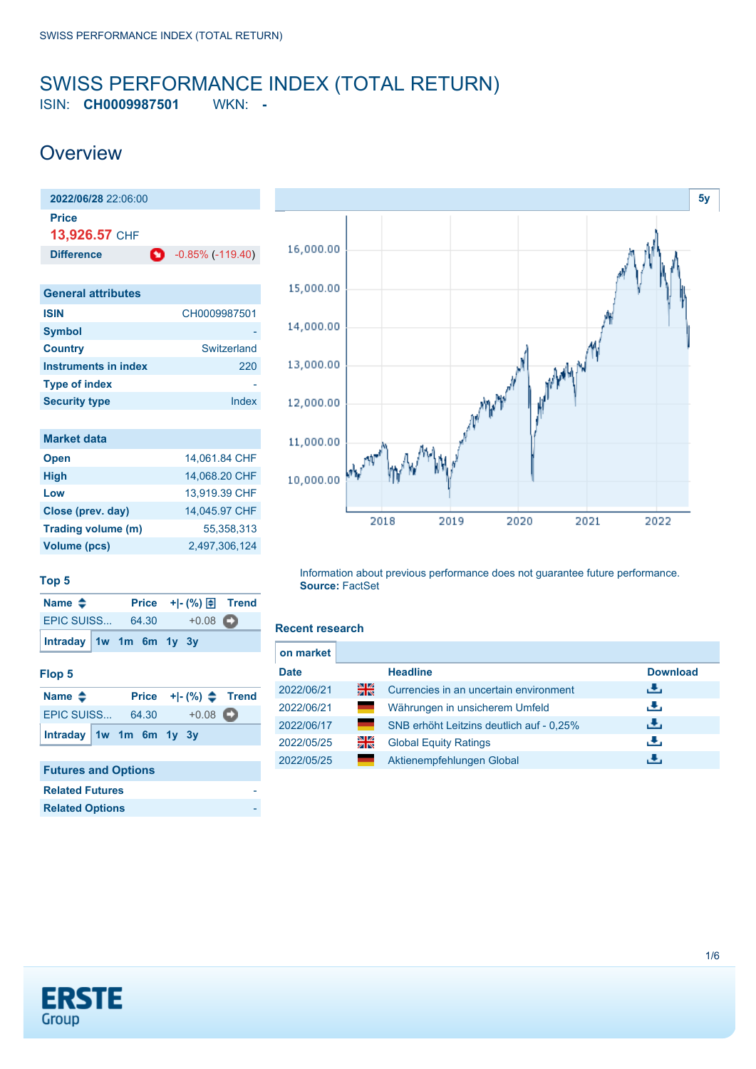<span id="page-0-0"></span>ISIN: **CH0009987501** WKN: **-**

### **Overview**

| 2022/06/28 22:06:00         |                              |
|-----------------------------|------------------------------|
| Price<br>13,926.57 CHF      |                              |
| <b>Difference</b>           | O<br>$-0.85\%$ ( $-119.40$ ) |
|                             |                              |
| <b>General attributes</b>   |                              |
| <b>ISIN</b>                 | CH0009987501                 |
| <b>Symbol</b>               |                              |
| <b>Country</b>              | Switzerland                  |
| <b>Instruments in index</b> | 220                          |
| <b>Type of index</b>        |                              |
| <b>Security type</b>        | Index                        |
|                             |                              |
| Market data                 |                              |

| <b>Open</b>         | 14,061.84 CHF |
|---------------------|---------------|
| <b>High</b>         | 14,068.20 CHF |
| Low                 | 13,919.39 CHF |
| Close (prev. day)   | 14.045.97 CHF |
| Trading volume (m)  | 55.358.313    |
| <b>Volume (pcs)</b> | 2,497,306,124 |
|                     |               |



### **Top 5**

| Name $\triangle$        |  |  | Price $+[-(%) \oplus$ Trend |
|-------------------------|--|--|-----------------------------|
| EPIC SUISS 64.30 +0.08  |  |  |                             |
| Intraday 1w 1m 6m 1y 3y |  |  |                             |

#### **Flop 5**

| Name $\triangle$        |  |  |         | Price $+[-(%) \triangleq$ Trend |
|-------------------------|--|--|---------|---------------------------------|
| <b>EPIC SUISS 64.30</b> |  |  | $+0.08$ |                                 |
| Intraday 1w 1m 6m 1y 3y |  |  |         |                                 |

### **Futures and Options Related Futures**

| <b>Related Options</b> |  |
|------------------------|--|
|                        |  |

Information about previous performance does not guarantee future performance. **Source:** FactSet

#### **Recent research**

| on market   |             |                                          |                 |
|-------------|-------------|------------------------------------------|-----------------|
| <b>Date</b> |             | <b>Headline</b>                          | <b>Download</b> |
| 2022/06/21  | 꾊           | Currencies in an uncertain environment   | ريل             |
| 2022/06/21  | a a shekara | Währungen in unsicherem Umfeld           | رنان            |
| 2022/06/17  | -           | SNB erhöht Leitzins deutlich auf - 0.25% | ريل             |
| 2022/05/25  | 꾉뚢          | <b>Global Equity Ratings</b>             | رنان            |
| 2022/05/25  | ٠           | Aktienempfehlungen Global                | υ.              |
|             |             |                                          |                 |

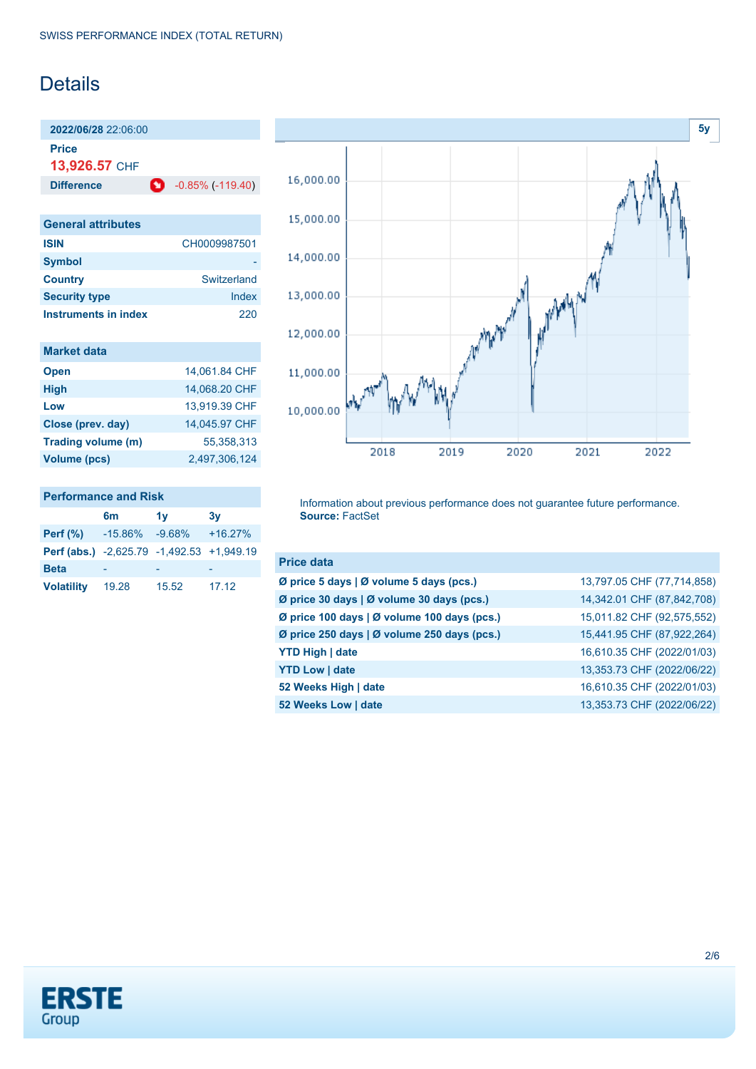## **Details**

**2022/06/28** 22:06:00

**Price**

**13,926.57** CHF

**Difference 0** -0.85% (-119.40)

| <b>General attributes</b> |              |
|---------------------------|--------------|
| <b>ISIN</b>               | CH0009987501 |
| <b>Symbol</b>             |              |
| <b>Country</b>            | Switzerland  |
| <b>Security type</b>      | Index        |
| Instruments in index      | 220          |

|  | <b>Market data</b> |  |
|--|--------------------|--|
|  |                    |  |

| <b>Open</b>         | 14,061.84 CHF |
|---------------------|---------------|
| <b>High</b>         | 14,068.20 CHF |
| Low                 | 13,919.39 CHF |
| Close (prev. day)   | 14,045.97 CHF |
| Trading volume (m)  | 55,358,313    |
| <b>Volume (pcs)</b> | 2,497,306,124 |
|                     |               |

### **Performance and Risk**

|                                           | 6m                 | 1v    | 3v        |
|-------------------------------------------|--------------------|-------|-----------|
| <b>Perf</b> (%)                           | $-15.86\% -9.68\%$ |       | $+16.27%$ |
| Perf (abs.) -2,625.79 -1,492.53 +1,949.19 |                    |       |           |
| <b>Beta</b>                               |                    |       |           |
| <b>Volatility</b>                         | 19.28              | 15.52 | 17.12     |



Information about previous performance does not guarantee future performance. **Source:** FactSet

| <b>Price data</b>                           |                            |
|---------------------------------------------|----------------------------|
| Ø price 5 days   Ø volume 5 days (pcs.)     | 13,797.05 CHF (77,714,858) |
| Ø price 30 days   Ø volume 30 days (pcs.)   | 14,342.01 CHF (87,842,708) |
| Ø price 100 days   Ø volume 100 days (pcs.) | 15,011.82 CHF (92,575,552) |
| Ø price 250 days   Ø volume 250 days (pcs.) | 15,441.95 CHF (87,922,264) |
| <b>YTD High   date</b>                      | 16,610.35 CHF (2022/01/03) |
| <b>YTD Low   date</b>                       | 13,353.73 CHF (2022/06/22) |
| 52 Weeks High   date                        | 16,610.35 CHF (2022/01/03) |
| 52 Weeks Low   date                         | 13,353.73 CHF (2022/06/22) |

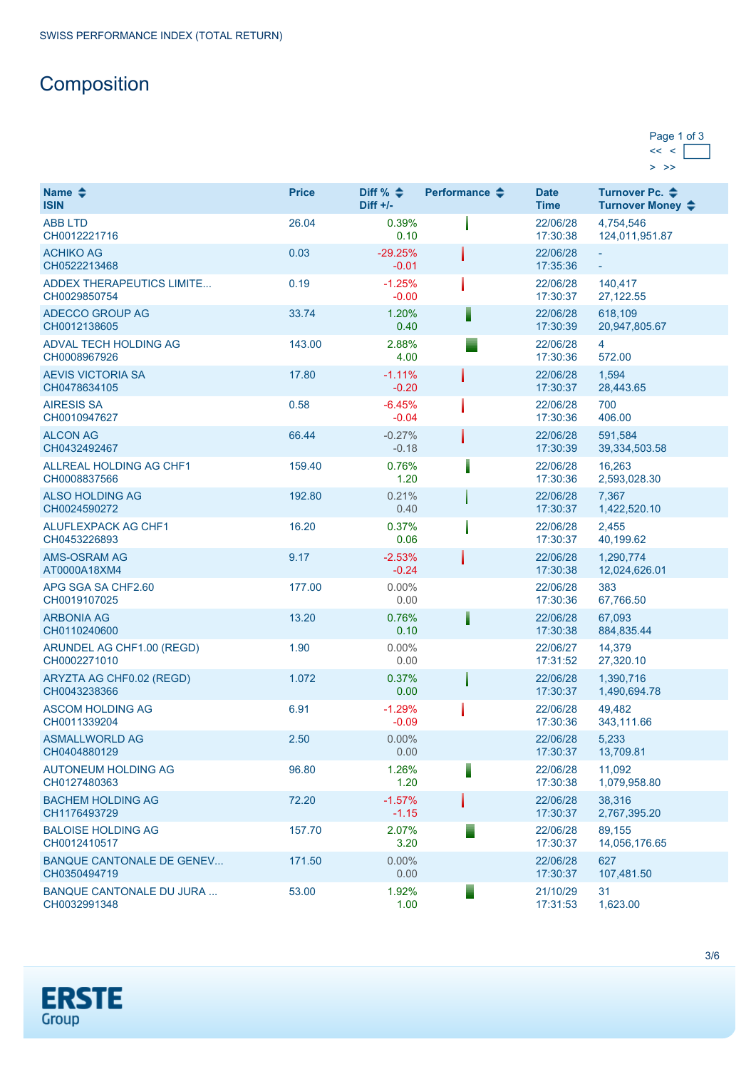# **Composition**

| Page 1 of 3 |  |
|-------------|--|
|             |  |
|             |  |

| Name $\triangle$<br><b>ISIN</b>                  | <b>Price</b> | Diff % $\triangleq$<br>$Diff +/-$ | Performance $\triangle$ | <b>Date</b><br><b>Time</b> | Turnover Pc. ♦<br>Turnover Money ♦ |
|--------------------------------------------------|--------------|-----------------------------------|-------------------------|----------------------------|------------------------------------|
| <b>ABB LTD</b><br>CH0012221716                   | 26.04        | 0.39%<br>0.10                     |                         | 22/06/28<br>17:30:38       | 4,754,546<br>124,011,951.87        |
| <b>ACHIKO AG</b><br>CH0522213468                 | 0.03         | $-29.25%$<br>$-0.01$              |                         | 22/06/28<br>17:35:36       |                                    |
| <b>ADDEX THERAPEUTICS LIMITE</b><br>CH0029850754 | 0.19         | $-1.25%$<br>$-0.00$               |                         | 22/06/28<br>17:30:37       | 140,417<br>27,122.55               |
| ADECCO GROUP AG<br>CH0012138605                  | 33.74        | 1.20%<br>0.40                     | H                       | 22/06/28<br>17:30:39       | 618,109<br>20,947,805.67           |
| ADVAL TECH HOLDING AG<br>CH0008967926            | 143.00       | 2.88%<br>4.00                     |                         | 22/06/28<br>17:30:36       | $\overline{4}$<br>572.00           |
| <b>AEVIS VICTORIA SA</b><br>CH0478634105         | 17.80        | $-1.11%$<br>$-0.20$               |                         | 22/06/28<br>17:30:37       | 1,594<br>28,443.65                 |
| <b>AIRESIS SA</b><br>CH0010947627                | 0.58         | $-6.45%$<br>$-0.04$               |                         | 22/06/28<br>17:30:36       | 700<br>406.00                      |
| <b>ALCON AG</b><br>CH0432492467                  | 66.44        | $-0.27%$<br>$-0.18$               |                         | 22/06/28<br>17:30:39       | 591,584<br>39, 334, 503. 58        |
| ALLREAL HOLDING AG CHF1<br>CH0008837566          | 159.40       | 0.76%<br>1.20                     |                         | 22/06/28<br>17:30:36       | 16,263<br>2,593,028.30             |
| <b>ALSO HOLDING AG</b><br>CH0024590272           | 192.80       | 0.21%<br>0.40                     |                         | 22/06/28<br>17:30:37       | 7,367<br>1,422,520.10              |
| <b>ALUFLEXPACK AG CHF1</b><br>CH0453226893       | 16.20        | 0.37%<br>0.06                     |                         | 22/06/28<br>17:30:37       | 2,455<br>40,199.62                 |
| <b>AMS-OSRAM AG</b><br>AT0000A18XM4              | 9.17         | $-2.53%$<br>$-0.24$               |                         | 22/06/28<br>17:30:38       | 1,290,774<br>12,024,626.01         |
| APG SGA SA CHF2.60<br>CH0019107025               | 177.00       | $0.00\%$<br>0.00                  |                         | 22/06/28<br>17:30:36       | 383<br>67,766.50                   |
| <b>ARBONIA AG</b><br>CH0110240600                | 13.20        | 0.76%<br>0.10                     | I                       | 22/06/28<br>17:30:38       | 67,093<br>884,835.44               |
| ARUNDEL AG CHF1.00 (REGD)<br>CH0002271010        | 1.90         | $0.00\%$<br>0.00                  |                         | 22/06/27<br>17:31:52       | 14,379<br>27,320.10                |
| ARYZTA AG CHF0.02 (REGD)<br>CH0043238366         | 1.072        | 0.37%<br>0.00                     |                         | 22/06/28<br>17:30:37       | 1,390,716<br>1,490,694.78          |
| <b>ASCOM HOLDING AG</b><br>CH0011339204          | 6.91         | $-1.29%$<br>$-0.09$               |                         | 22/06/28<br>17:30:36       | 49,482<br>343,111.66               |
| <b>ASMALLWORLD AG</b><br>CH0404880129            | 2.50         | 0.00%<br>0.00                     |                         | 22/06/28<br>17:30:37       | 5,233<br>13,709.81                 |
| AUTONEUM HOLDING AG<br>CH0127480363              | 96.80        | 1.26%<br>1.20                     |                         | 22/06/28<br>17:30:38       | 11,092<br>1,079,958.80             |
| <b>BACHEM HOLDING AG</b><br>CH1176493729         | 72.20        | $-1.57%$<br>$-1.15$               |                         | 22/06/28<br>17:30:37       | 38.316<br>2,767,395.20             |
| <b>BALOISE HOLDING AG</b><br>CH0012410517        | 157.70       | 2.07%<br>3.20                     |                         | 22/06/28<br>17:30:37       | 89.155<br>14,056,176.65            |
| <b>BANQUE CANTONALE DE GENEV</b><br>CH0350494719 | 171.50       | $0.00\%$<br>0.00                  |                         | 22/06/28<br>17:30:37       | 627<br>107,481.50                  |
| BANQUE CANTONALE DU JURA<br>CH0032991348         | 53.00        | 1.92%<br>1.00                     |                         | 21/10/29<br>17:31:53       | 31<br>1,623.00                     |

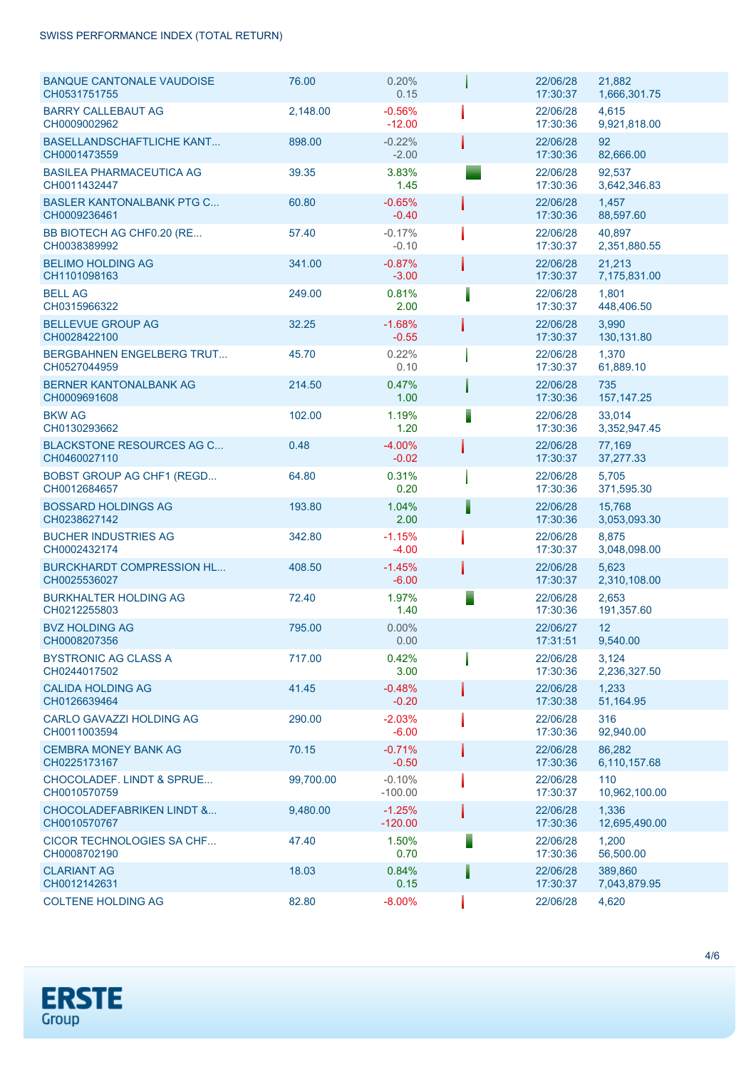| <b>BANQUE CANTONALE VAUDOISE</b><br>CH0531751755     | 76.00     | 0.20%<br>0.15         |   | 22/06/28<br>17:30:37 | 21.882<br>1,666,301.75        |
|------------------------------------------------------|-----------|-----------------------|---|----------------------|-------------------------------|
| <b>BARRY CALLEBAUT AG</b><br>CH0009002962            | 2,148.00  | $-0.56%$<br>$-12.00$  |   | 22/06/28<br>17:30:36 | 4,615<br>9,921,818.00         |
| <b>BASELLANDSCHAFTLICHE KANT</b><br>CH0001473559     | 898.00    | $-0.22%$<br>$-2.00$   |   | 22/06/28<br>17:30:36 | 92<br>82,666.00               |
| <b>BASILEA PHARMACEUTICA AG</b><br>CH0011432447      | 39.35     | 3.83%<br>1.45         |   | 22/06/28<br>17:30:36 | 92,537<br>3,642,346.83        |
| <b>BASLER KANTONALBANK PTG C</b><br>CH0009236461     | 60.80     | $-0.65%$<br>$-0.40$   |   | 22/06/28<br>17:30:36 | 1,457<br>88,597.60            |
| BB BIOTECH AG CHF0.20 (RE<br>CH0038389992            | 57.40     | $-0.17%$<br>$-0.10$   |   | 22/06/28<br>17:30:37 | 40,897<br>2,351,880.55        |
| <b>BELIMO HOLDING AG</b><br>CH1101098163             | 341.00    | $-0.87%$<br>$-3.00$   |   | 22/06/28<br>17:30:37 | 21,213<br>7,175,831.00        |
| <b>BELL AG</b><br>CH0315966322                       | 249.00    | 0.81%<br>2.00         |   | 22/06/28<br>17:30:37 | 1,801<br>448,406.50           |
| <b>BELLEVUE GROUP AG</b><br>CH0028422100             | 32.25     | $-1.68%$<br>$-0.55$   |   | 22/06/28<br>17:30:37 | 3.990<br>130,131.80           |
| <b>BERGBAHNEN ENGELBERG TRUT</b><br>CH0527044959     | 45.70     | 0.22%<br>0.10         |   | 22/06/28<br>17:30:37 | 1,370<br>61,889.10            |
| <b>BERNER KANTONALBANK AG</b><br>CH0009691608        | 214.50    | 0.47%<br>1.00         |   | 22/06/28<br>17:30:36 | 735<br>157, 147. 25           |
| <b>BKW AG</b><br>CH0130293662                        | 102.00    | 1.19%<br>1.20         | ▌ | 22/06/28<br>17:30:36 | 33,014<br>3,352,947.45        |
| <b>BLACKSTONE RESOURCES AG C</b><br>CH0460027110     | 0.48      | $-4.00%$<br>$-0.02$   |   | 22/06/28<br>17:30:37 | 77,169<br>37,277.33           |
| BOBST GROUP AG CHF1 (REGD<br>CH0012684657            | 64.80     | 0.31%<br>0.20         |   | 22/06/28<br>17:30:36 | 5,705<br>371,595.30           |
| <b>BOSSARD HOLDINGS AG</b><br>CH0238627142           | 193.80    | 1.04%<br>2.00         | I | 22/06/28<br>17:30:36 | 15,768<br>3,053,093.30        |
| <b>BUCHER INDUSTRIES AG</b><br>CH0002432174          | 342.80    | $-1.15%$<br>$-4.00$   |   | 22/06/28<br>17:30:37 | 8,875<br>3,048,098.00         |
| <b>BURCKHARDT COMPRESSION HL</b><br>CH0025536027     | 408.50    | $-1.45%$<br>$-6.00$   |   | 22/06/28<br>17:30:37 | 5,623<br>2,310,108.00         |
| <b>BURKHALTER HOLDING AG</b><br>CH0212255803         | 72.40     | 1.97%<br>1.40         |   | 22/06/28<br>17:30:36 | 2,653<br>191,357.60           |
| <b>BVZ HOLDING AG</b><br>CH0008207356                | 795.00    | 0.00%<br>0.00         |   | 22/06/27<br>17:31:51 | $12 \overline{ }$<br>9,540.00 |
| <b>BYSTRONIC AG CLASS A</b><br>CH0244017502          | 717.00    | 0.42%<br>3.00         |   | 22/06/28<br>17:30:36 | 3,124<br>2,236,327.50         |
| <b>CALIDA HOLDING AG</b><br>CH0126639464             | 41.45     | $-0.48%$<br>$-0.20$   |   | 22/06/28<br>17:30:38 | 1,233<br>51,164.95            |
| CARLO GAVAZZI HOLDING AG<br>CH0011003594             | 290.00    | $-2.03%$<br>$-6.00$   |   | 22/06/28<br>17:30:36 | 316<br>92,940.00              |
| <b>CEMBRA MONEY BANK AG</b><br>CH0225173167          | 70.15     | $-0.71%$<br>$-0.50$   |   | 22/06/28<br>17:30:36 | 86.282<br>6,110,157.68        |
| <b>CHOCOLADEF. LINDT &amp; SPRUE</b><br>CH0010570759 | 99,700.00 | $-0.10%$<br>$-100.00$ |   | 22/06/28<br>17:30:37 | 110<br>10,962,100.00          |
| <b>CHOCOLADEFABRIKEN LINDT &amp;</b><br>CH0010570767 | 9,480.00  | $-1.25%$<br>$-120.00$ |   | 22/06/28<br>17:30:36 | 1,336<br>12,695,490.00        |
| CICOR TECHNOLOGIES SA CHF<br>CH0008702190            | 47.40     | 1.50%<br>0.70         |   | 22/06/28<br>17:30:36 | 1,200<br>56,500.00            |
| <b>CLARIANT AG</b><br>CH0012142631                   | 18.03     | 0.84%<br>0.15         | I | 22/06/28<br>17:30:37 | 389,860<br>7,043,879.95       |
| <b>COLTENE HOLDING AG</b>                            | 82.80     | $-8.00%$              |   | 22/06/28             | 4,620                         |

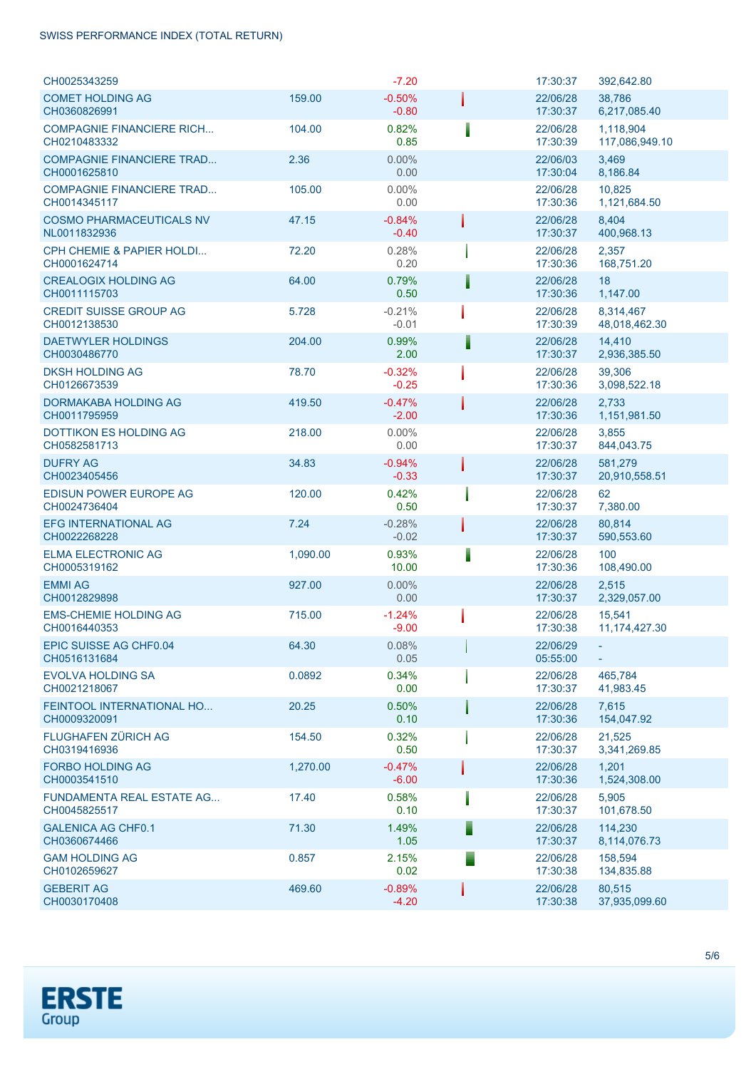| CH0025343259                                     |          | $-7.20$             |   | 17:30:37             | 392,642.80                  |
|--------------------------------------------------|----------|---------------------|---|----------------------|-----------------------------|
| <b>COMET HOLDING AG</b><br>CH0360826991          | 159.00   | $-0.50%$<br>$-0.80$ |   | 22/06/28<br>17:30:37 | 38,786<br>6,217,085.40      |
| <b>COMPAGNIE FINANCIERE RICH</b><br>CH0210483332 | 104.00   | 0.82%<br>0.85       |   | 22/06/28<br>17:30:39 | 1,118,904<br>117,086,949.10 |
| <b>COMPAGNIE FINANCIERE TRAD</b><br>CH0001625810 | 2.36     | $0.00\%$<br>0.00    |   | 22/06/03<br>17:30:04 | 3,469<br>8,186.84           |
| <b>COMPAGNIE FINANCIERE TRAD</b><br>CH0014345117 | 105.00   | 0.00%<br>0.00       |   | 22/06/28<br>17:30:36 | 10,825<br>1,121,684.50      |
| <b>COSMO PHARMACEUTICALS NV</b><br>NL0011832936  | 47.15    | $-0.84%$<br>$-0.40$ |   | 22/06/28<br>17:30:37 | 8,404<br>400,968.13         |
| CPH CHEMIE & PAPIER HOLDI<br>CH0001624714        | 72.20    | 0.28%<br>0.20       |   | 22/06/28<br>17:30:36 | 2,357<br>168,751.20         |
| <b>CREALOGIX HOLDING AG</b><br>CH0011115703      | 64.00    | 0.79%<br>0.50       | I | 22/06/28<br>17:30:36 | 18<br>1,147.00              |
| <b>CREDIT SUISSE GROUP AG</b><br>CH0012138530    | 5.728    | $-0.21%$<br>$-0.01$ |   | 22/06/28<br>17:30:39 | 8,314,467<br>48,018,462.30  |
| <b>DAETWYLER HOLDINGS</b><br>CH0030486770        | 204.00   | 0.99%<br>2.00       | Ī | 22/06/28<br>17:30:37 | 14,410<br>2,936,385.50      |
| <b>DKSH HOLDING AG</b><br>CH0126673539           | 78.70    | $-0.32%$<br>$-0.25$ |   | 22/06/28<br>17:30:36 | 39.306<br>3,098,522.18      |
| <b>DORMAKABA HOLDING AG</b><br>CH0011795959      | 419.50   | $-0.47%$<br>$-2.00$ |   | 22/06/28<br>17:30:36 | 2,733<br>1,151,981.50       |
| <b>DOTTIKON ES HOLDING AG</b><br>CH0582581713    | 218.00   | 0.00%<br>0.00       |   | 22/06/28<br>17:30:37 | 3,855<br>844,043.75         |
| <b>DUFRY AG</b><br>CH0023405456                  | 34.83    | $-0.94%$<br>$-0.33$ |   | 22/06/28<br>17:30:37 | 581,279<br>20,910,558.51    |
| EDISUN POWER EUROPE AG<br>CH0024736404           | 120.00   | 0.42%<br>0.50       |   | 22/06/28<br>17:30:37 | 62<br>7,380.00              |
| <b>EFG INTERNATIONAL AG</b><br>CH0022268228      | 7.24     | $-0.28%$<br>$-0.02$ |   | 22/06/28<br>17:30:37 | 80,814<br>590,553.60        |
| <b>ELMA ELECTRONIC AG</b><br>CH0005319162        | 1,090.00 | 0.93%<br>10.00      | Ī | 22/06/28<br>17:30:36 | 100<br>108,490.00           |
| <b>EMMI AG</b><br>CH0012829898                   | 927.00   | 0.00%<br>0.00       |   | 22/06/28<br>17:30:37 | 2,515<br>2,329,057.00       |
| <b>EMS-CHEMIE HOLDING AG</b><br>CH0016440353     | 715.00   | $-1.24%$<br>$-9.00$ |   | 22/06/28<br>17:30:38 | 15,541<br>11, 174, 427. 30  |
| EPIC SUISSE AG CHF0.04<br>CH0516131684           | 64.30    | 0.08%<br>0.05       |   | 22/06/29<br>05:55:00 |                             |
| <b>EVOLVA HOLDING SA</b><br>CH0021218067         | 0.0892   | 0.34%<br>0.00       |   | 22/06/28<br>17:30:37 | 465,784<br>41,983.45        |
| FEINTOOL INTERNATIONAL HO<br>CH0009320091        | 20.25    | 0.50%<br>0.10       |   | 22/06/28<br>17:30:36 | 7,615<br>154,047.92         |
| FLUGHAFEN ZÜRICH AG<br>CH0319416936              | 154.50   | 0.32%<br>0.50       |   | 22/06/28<br>17:30:37 | 21,525<br>3,341,269.85      |
| <b>FORBO HOLDING AG</b><br>CH0003541510          | 1,270.00 | $-0.47%$<br>$-6.00$ |   | 22/06/28<br>17:30:36 | 1,201<br>1,524,308.00       |
| <b>FUNDAMENTA REAL ESTATE AG</b><br>CH0045825517 | 17.40    | 0.58%<br>0.10       |   | 22/06/28<br>17:30:37 | 5,905<br>101,678.50         |
| <b>GALENICA AG CHF0.1</b><br>CH0360674466        | 71.30    | 1.49%<br>1.05       |   | 22/06/28<br>17:30:37 | 114,230<br>8,114,076.73     |
| <b>GAM HOLDING AG</b><br>CH0102659627            | 0.857    | 2.15%<br>0.02       |   | 22/06/28<br>17:30:38 | 158,594<br>134,835.88       |
| <b>GEBERIT AG</b><br>CH0030170408                | 469.60   | $-0.89%$<br>$-4.20$ |   | 22/06/28<br>17:30:38 | 80,515<br>37,935,099.60     |